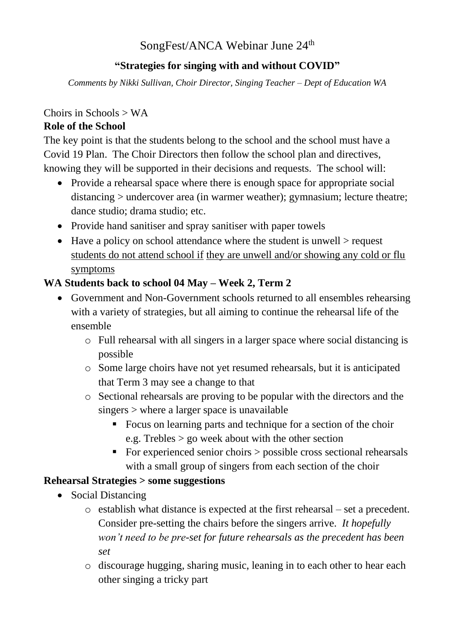# SongFest/ANCA Webinar June 24<sup>th</sup>

## **"Strategies for singing with and without COVID"**

*Comments by Nikki Sullivan, Choir Director, Singing Teacher – Dept of Education WA*

## Choirs in Schools > WA

## **Role of the School**

The key point is that the students belong to the school and the school must have a Covid 19 Plan. The Choir Directors then follow the school plan and directives, knowing they will be supported in their decisions and requests. The school will:

- Provide a rehearsal space where there is enough space for appropriate social distancing > undercover area (in warmer weather); gymnasium; lecture theatre; dance studio; drama studio; etc.
- Provide hand sanitiser and spray sanitiser with paper towels
- Have a policy on school attendance where the student is unwell  $>$  request students do not attend school if they are unwell and/or showing any cold or flu symptoms

# **WA Students back to school 04 May – Week 2, Term 2**

- Government and Non-Government schools returned to all ensembles rehearsing with a variety of strategies, but all aiming to continue the rehearsal life of the ensemble
	- o Full rehearsal with all singers in a larger space where social distancing is possible
	- o Some large choirs have not yet resumed rehearsals, but it is anticipated that Term 3 may see a change to that
	- o Sectional rehearsals are proving to be popular with the directors and the singers > where a larger space is unavailable
		- Focus on learning parts and technique for a section of the choir e.g. Trebles > go week about with the other section
		- $\blacksquare$  For experienced senior choirs  $>$  possible cross sectional rehearsals with a small group of singers from each section of the choir

#### **Rehearsal Strategies > some suggestions**

- Social Distancing
	- o establish what distance is expected at the first rehearsal set a precedent. Consider pre-setting the chairs before the singers arrive. *It hopefully won't need to be pre-set for future rehearsals as the precedent has been set*
	- o discourage hugging, sharing music, leaning in to each other to hear each other singing a tricky part